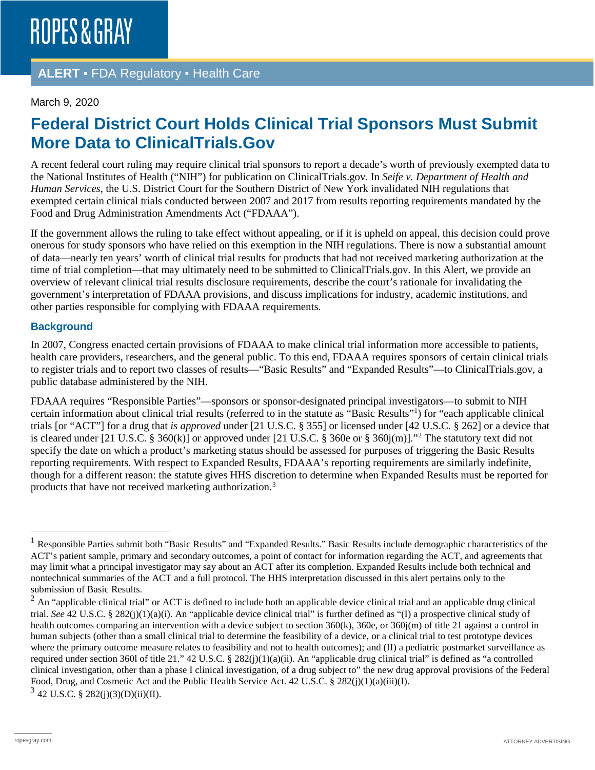## **ALERT** ▪ FDA Regulatory ▪ Health Care

#### March 9, 2020

# **Federal District Court Holds Clinical Trial Sponsors Must Submit More Data to ClinicalTrials.Gov**

A recent federal court ruling may require clinical trial sponsors to report a decade's worth of previously exempted data to the National Institutes of Health ("NIH") for publication on ClinicalTrials.gov. In *Seife v. Department of Health and Human Services*, the U.S. District Court for the Southern District of New York invalidated NIH regulations that exempted certain clinical trials conducted between 2007 and 2017 from results reporting requirements mandated by the Food and Drug Administration Amendments Act ("FDAAA").

If the government allows the ruling to take effect without appealing, or if it is upheld on appeal, this decision could prove onerous for study sponsors who have relied on this exemption in the NIH regulations. There is now a substantial amount of data—nearly ten years' worth of clinical trial results for products that had not received marketing authorization at the time of trial completion—that may ultimately need to be submitted to ClinicalTrials.gov. In this Alert, we provide an overview of relevant clinical trial results disclosure requirements, describe the court's rationale for invalidating the government's interpretation of FDAAA provisions, and discuss implications for industry, academic institutions, and other parties responsible for complying with FDAAA requirements.

#### **Background**

In 2007, Congress enacted certain provisions of FDAAA to make clinical trial information more accessible to patients, health care providers, researchers, and the general public. To this end, FDAAA requires sponsors of certain clinical trials to register trials and to report two classes of results—"Basic Results" and "Expanded Results"—to ClinicalTrials.gov, a public database administered by the NIH.

FDAAA requires "Responsible Parties"—sponsors or sponsor-designated principal investigators—to submit to NIH certain information about clinical trial results (referred to in the statute as "Basic Results["1](#page-0-0) ) for "each applicable clinical trials [or "ACT"] for a drug that *is approved* under [21 U.S.C. § 355] or licensed under [42 U.S.C. § 262] or a device that is cleared under [21 U.S.C. § 360(k)] or approved under [21 U.S.C. § 360e or § 360j(m)]."[2](#page-0-1) The statutory text did not specify the date on which a product's marketing status should be assessed for purposes of triggering the Basic Results reporting requirements. With respect to Expanded Results, FDAAA's reporting requirements are similarly indefinite, though for a different reason: the statute gives HHS discretion to determine when Expanded Results must be reported for products that have not received marketing authorization.[3](#page-0-2)

<span id="page-0-2"></span> $3$  42 U.S.C. § 282(j)(3)(D)(ii)(II).

<span id="page-0-0"></span><sup>&</sup>lt;sup>1</sup> Responsible Parties submit both "Basic Results" and "Expanded Results." Basic Results include demographic characteristics of the ACT's patient sample, primary and secondary outcomes, a point of contact for information regarding the ACT, and agreements that may limit what a principal investigator may say about an ACT after its completion. Expanded Results include both technical and nontechnical summaries of the ACT and a full protocol. The HHS interpretation discussed in this alert pertains only to the submission of Basic Results.

<span id="page-0-1"></span><sup>&</sup>lt;sup>2</sup> An "applicable clinical trial" or ACT is defined to include both an applicable device clinical trial and an applicable drug clinical trial. *See* 42 U.S.C. § 282(j)(1)(a)(i). An "applicable device clinical trial" is further defined as "(I) a prospective clinical study of health outcomes comparing an intervention with a device subject to section 360(k), 360e, or 360 $j(m)$  of title 21 against a control in human subjects (other than a small clinical trial to determine the feasibility of a device, or a clinical trial to test prototype devices where the primary outcome measure relates to feasibility and not to health outcomes); and (II) a pediatric postmarket surveillance as required under section 360l of title 21." 42 U.S.C. § 282(j)(1)(a)(ii). An "applicable drug clinical trial" is defined as "a controlled clinical investigation, other than a phase I clinical investigation, of a drug subject to" the new drug approval provisions of the Federal Food, Drug, and Cosmetic Act and the Public Health Service Act. 42 U.S.C. § 282(j)(1)(a)(iii)(I).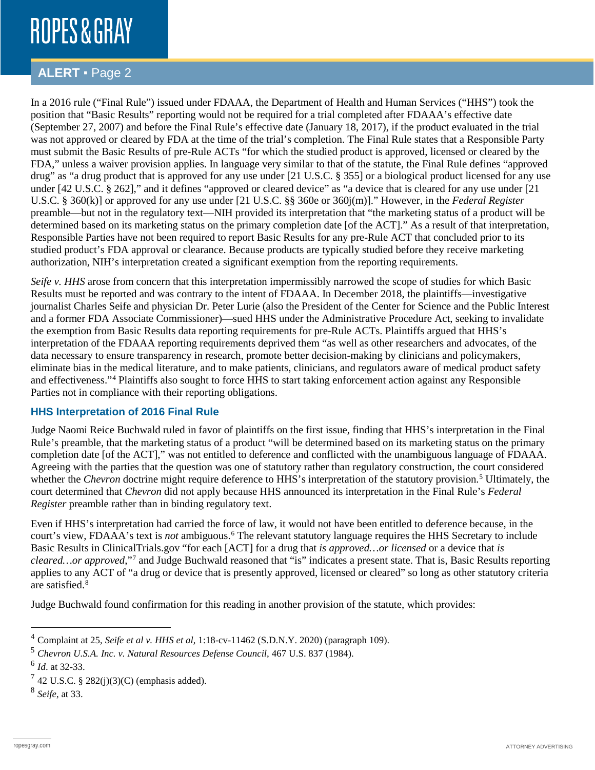# ROPES & GRAY

## **ALERT** ▪ Page 2

In a 2016 rule ("Final Rule") issued under FDAAA, the Department of Health and Human Services ("HHS") took the position that "Basic Results" reporting would not be required for a trial completed after FDAAA's effective date (September 27, 2007) and before the Final Rule's effective date (January 18, 2017), if the product evaluated in the trial was not approved or cleared by FDA at the time of the trial's completion. The Final Rule states that a Responsible Party must submit the Basic Results of pre-Rule ACTs "for which the studied product is approved, licensed or cleared by the FDA," unless a waiver provision applies. In language very similar to that of the statute, the Final Rule defines "approved drug" as "a drug product that is approved for any use under [21 U.S.C. § 355] or a biological product licensed for any use under [42 U.S.C. § 262]," and it defines "approved or cleared device" as "a device that is cleared for any use under [21 U.S.C. § 360(k)] or approved for any use under [21 U.S.C. §§ 360e or 360j(m)]." However, in the *Federal Register* preamble—but not in the regulatory text—NIH provided its interpretation that "the marketing status of a product will be determined based on its marketing status on the primary completion date [of the ACT]." As a result of that interpretation, Responsible Parties have not been required to report Basic Results for any pre-Rule ACT that concluded prior to its studied product's FDA approval or clearance. Because products are typically studied before they receive marketing authorization, NIH's interpretation created a significant exemption from the reporting requirements.

*Seife v. HHS* arose from concern that this interpretation impermissibly narrowed the scope of studies for which Basic Results must be reported and was contrary to the intent of FDAAA. In December 2018, the plaintiffs—investigative journalist Charles Seife and physician Dr. Peter Lurie (also the President of the Center for Science and the Public Interest and a former FDA Associate Commissioner)—sued HHS under the Administrative Procedure Act, seeking to invalidate the exemption from Basic Results data reporting requirements for pre-Rule ACTs. Plaintiffs argued that HHS's interpretation of the FDAAA reporting requirements deprived them "as well as other researchers and advocates, of the data necessary to ensure transparency in research, promote better decision-making by clinicians and policymakers, eliminate bias in the medical literature, and to make patients, clinicians, and regulators aware of medical product safety and effectiveness."[4](#page-1-0) Plaintiffs also sought to force HHS to start taking enforcement action against any Responsible Parties not in compliance with their reporting obligations.

### **HHS Interpretation of 2016 Final Rule**

Judge Naomi Reice Buchwald ruled in favor of plaintiffs on the first issue, finding that HHS's interpretation in the Final Rule's preamble, that the marketing status of a product "will be determined based on its marketing status on the primary completion date [of the ACT]," was not entitled to deference and conflicted with the unambiguous language of FDAAA. Agreeing with the parties that the question was one of statutory rather than regulatory construction, the court considered whether the *Chevron* doctrine might require deference to HHS's interpretation of the statutory provision.<sup>[5](#page-1-1)</sup> Ultimately, the court determined that *Chevron* did not apply because HHS announced its interpretation in the Final Rule's *Federal Register* preamble rather than in binding regulatory text.

Even if HHS's interpretation had carried the force of law, it would not have been entitled to deference because, in the court's view, FDAAA's text is *not* ambiguous.<sup>[6](#page-1-2)</sup> The relevant statutory language requires the HHS Secretary to include Basic Results in ClinicalTrials.gov "for each [ACT] for a drug that *is approved…or licensed* or a device that *is cleared…or approved*,"[7](#page-1-3) and Judge Buchwald reasoned that "is" indicates a present state. That is, Basic Results reporting applies to any ACT of "a drug or device that is presently approved, licensed or cleared" so long as other statutory criteria are satisfied.[8](#page-1-4)

Judge Buchwald found confirmation for this reading in another provision of the statute, which provides:

<span id="page-1-0"></span> <sup>4</sup> Complaint at 25, *Seife et al v. HHS et al*, 1:18-cv-11462 (S.D.N.Y. 2020) (paragraph 109).

<span id="page-1-1"></span><sup>5</sup> *Chevron U.S.A. Inc. v. Natural Resources Defense Council*, 467 U.S. 837 (1984).

<span id="page-1-2"></span><sup>6</sup> *Id*. at 32-33.

<span id="page-1-3"></span> $7$  42 U.S.C. § 282(j)(3)(C) (emphasis added).

<span id="page-1-4"></span><sup>8</sup> *Seife*, at 33.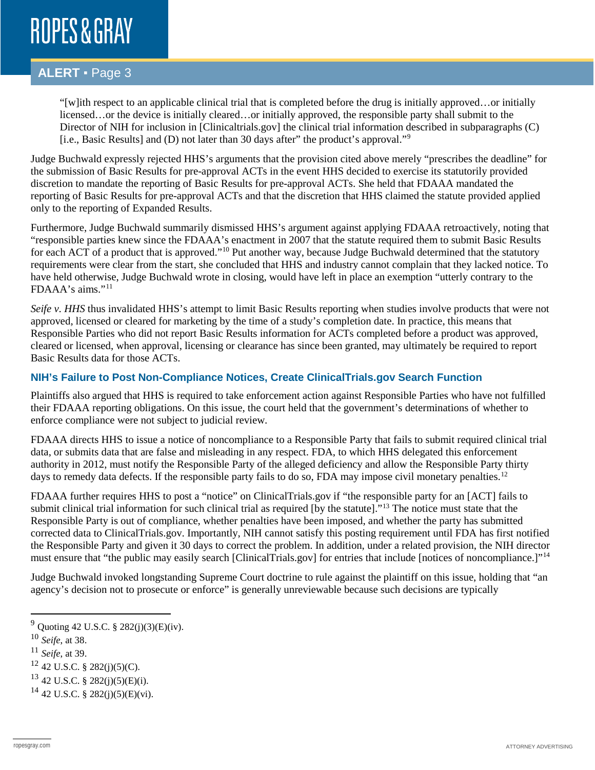# ROPES & GRAY

## **ALERT** ▪ Page 3

"[w]ith respect to an applicable clinical trial that is completed before the drug is initially approved…or initially licensed…or the device is initially cleared…or initially approved, the responsible party shall submit to the Director of NIH for inclusion in [Clinicaltrials.gov] the clinical trial information described in subparagraphs (C) [i.e., Basic Results] and (D) not later than 30 days after" the product's approval."[9](#page-2-0)

Judge Buchwald expressly rejected HHS's arguments that the provision cited above merely "prescribes the deadline" for the submission of Basic Results for pre-approval ACTs in the event HHS decided to exercise its statutorily provided discretion to mandate the reporting of Basic Results for pre-approval ACTs. She held that FDAAA mandated the reporting of Basic Results for pre-approval ACTs and that the discretion that HHS claimed the statute provided applied only to the reporting of Expanded Results.

Furthermore, Judge Buchwald summarily dismissed HHS's argument against applying FDAAA retroactively, noting that "responsible parties knew since the FDAAA's enactment in 2007 that the statute required them to submit Basic Results for each ACT of a product that is approved."[10](#page-2-1) Put another way, because Judge Buchwald determined that the statutory requirements were clear from the start, she concluded that HHS and industry cannot complain that they lacked notice. To have held otherwise, Judge Buchwald wrote in closing, would have left in place an exemption "utterly contrary to the FDAAA's aims."[11](#page-2-2)

*Seife v. HHS* thus invalidated HHS's attempt to limit Basic Results reporting when studies involve products that were not approved, licensed or cleared for marketing by the time of a study's completion date. In practice, this means that Responsible Parties who did not report Basic Results information for ACTs completed before a product was approved, cleared or licensed, when approval, licensing or clearance has since been granted, may ultimately be required to report Basic Results data for those ACTs.

### **NIH's Failure to Post Non-Compliance Notices, Create ClinicalTrials.gov Search Function**

Plaintiffs also argued that HHS is required to take enforcement action against Responsible Parties who have not fulfilled their FDAAA reporting obligations. On this issue, the court held that the government's determinations of whether to enforce compliance were not subject to judicial review.

FDAAA directs HHS to issue a notice of noncompliance to a Responsible Party that fails to submit required clinical trial data, or submits data that are false and misleading in any respect. FDA, to which HHS delegated this enforcement authority in 2012, must notify the Responsible Party of the alleged deficiency and allow the Responsible Party thirty days to remedy data defects. If the responsible party fails to do so, FDA may impose civil monetary penalties.<sup>[12](#page-2-3)</sup>

FDAAA further requires HHS to post a "notice" on ClinicalTrials.gov if "the responsible party for an [ACT] fails to submit clinical trial information for such clinical trial as required [by the statute].<sup>"[13](#page-2-4)</sup> The notice must state that the Responsible Party is out of compliance, whether penalties have been imposed, and whether the party has submitted corrected data to ClinicalTrials.gov. Importantly, NIH cannot satisfy this posting requirement until FDA has first notified the Responsible Party and given it 30 days to correct the problem. In addition, under a related provision, the NIH director must ensure that "the public may easily search [ClinicalTrials.gov] for entries that include [notices of noncompliance.]"<sup>[14](#page-2-5)</sup>

Judge Buchwald invoked longstanding Supreme Court doctrine to rule against the plaintiff on this issue, holding that "an agency's decision not to prosecute or enforce" is generally unreviewable because such decisions are typically

<span id="page-2-4"></span> $13$  42 U.S.C. § 282(j)(5)(E)(i).

<span id="page-2-0"></span> <sup>9</sup> Quoting 42 U.S.C. § 282(j)(3)(E)(iv).

<span id="page-2-1"></span><sup>10</sup> *Seife*, at 38.

<span id="page-2-2"></span><sup>11</sup> *Seife*, at 39.

<span id="page-2-3"></span> $12$  42 U.S.C. § 282(j)(5)(C).

<span id="page-2-5"></span> $14$  42 U.S.C. § 282(j)(5)(E)(vi).